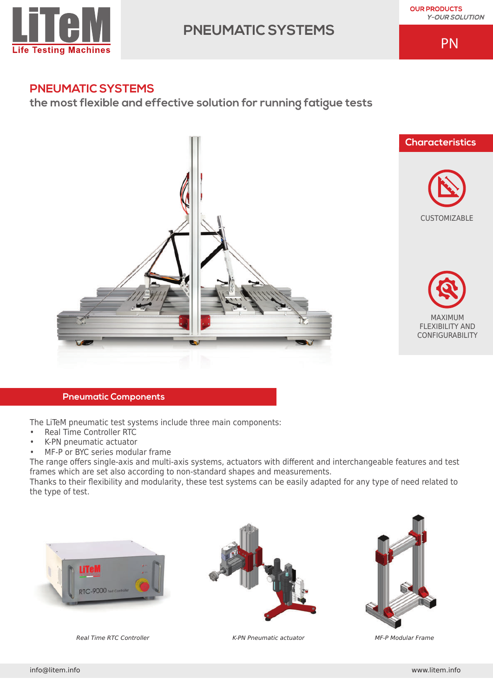

# **PNEUMATIC SYSTEMS**

**OUR PRODUCTS Y-OUR SOLUTION** 

PN

# **PNEUMATIC SYSTEMS**

**the most flexible and effective solution for running fatigue tests** 









## **Pneumatic Components**

The LiTeM pneumatic test systems include three main components:

- Real Time Controller RTC
- K-PN pneumatic actuator
- MF-P or BYC series modular frame

The range offers single-axis and multi-axis systems, actuators with different and interchangeable features and test frames which are set also according to non-standard shapes and measurements.

Thanks to their flexibility and modularity, these test systems can be easily adapted for any type of need related to the type of test.







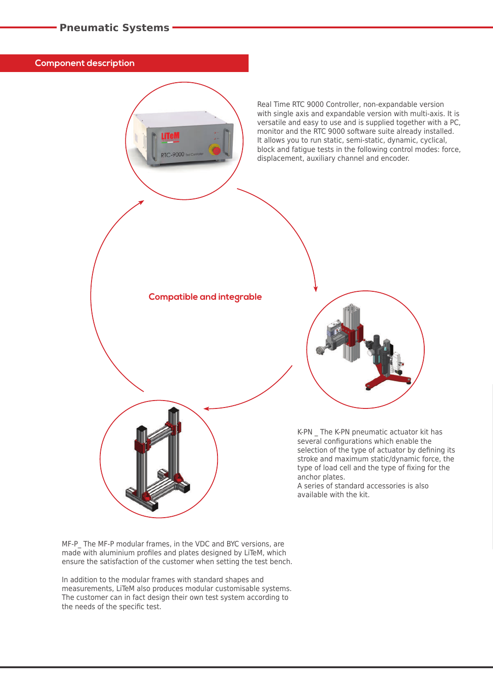**Component description**

Real Time RTC 9000 Controller, non-expandable version with single axis and expandable version with multi-axis. It is versatile and easy to use and is supplied together with a PC, monitor and the RTC 9000 software suite already installed. It allows you to run static, semi-static, dynamic, cyclical, block and fatigue tests in the following control modes: force, displacement, auxiliary channel and encoder.

**Compatible and integrable**

K-PN \_ The K-PN pneumatic actuator kit has several configurations which enable the selection of the type of actuator by defining its stroke and maximum static/dynamic force, the type of load cell and the type of fixing for the anchor plates.

A series of standard accessories is also available with the kit.

MF-P\_ The MF-P modular frames, in the VDC and BYC versions, are made with aluminium profiles and plates designed by LiTeM, which ensure the satisfaction of the customer when setting the test bench.

In addition to the modular frames with standard shapes and measurements, LiTeM also produces modular customisable systems. The customer can in fact design their own test system according to the needs of the specific test.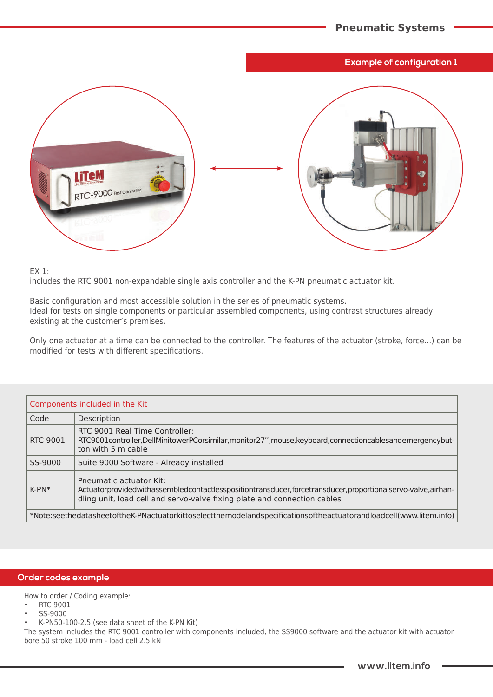### **Example of configuration 1**



EX 1:

includes the RTC 9001 non-expandable single axis controller and the K-PN pneumatic actuator kit.

Basic configuration and most accessible solution in the series of pneumatic systems. Ideal for tests on single components or particular assembled components, using contrast structures already existing at the customer's premises.

Only one actuator at a time can be connected to the controller. The features of the actuator (stroke, force...) can be modified for tests with different specifications.

| Components included in the Kit                                                                                     |                                                                                                                                                                                                                   |  |
|--------------------------------------------------------------------------------------------------------------------|-------------------------------------------------------------------------------------------------------------------------------------------------------------------------------------------------------------------|--|
| Code                                                                                                               | Description                                                                                                                                                                                                       |  |
| <b>RTC 9001</b>                                                                                                    | RTC 9001 Real Time Controller:<br>RTC9001controller,DellMinitowerPCorsimilar,monitor27",mouse,keyboard,connectioncablesandemergencybut-<br>ton with 5 m cable                                                     |  |
| SS-9000                                                                                                            | Suite 9000 Software - Already installed                                                                                                                                                                           |  |
| $K-PN*$                                                                                                            | Pneumatic actuator Kit:<br>Actuatorprovidedwithassembledcontactlesspositiontransducer,forcetransducer,proportionalservo-valve,airhan-<br>dling unit, load cell and servo-valve fixing plate and connection cables |  |
| *Note:seethedatasheetoftheK-PNactuatorkittoselectthemodelandspecificationsoftheactuatorandloadcell(www.litem.info) |                                                                                                                                                                                                                   |  |

#### **Order codes example**

How to order / Coding example:

- RTC 9001
- SS-9000
- K-PN50-100-2.5 (see data sheet of the K-PN Kit)

The system includes the RTC 9001 controller with components included, the SS9000 software and the actuator kit with actuator bore 50 stroke 100 mm - load cell 2.5 kN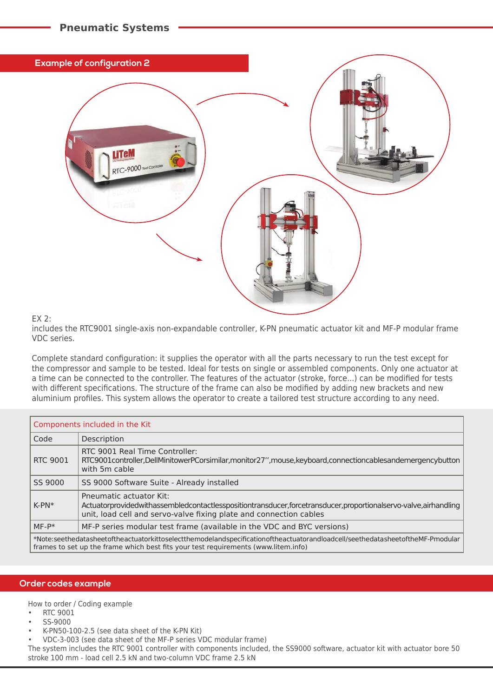

#### EX 2:

includes the RTC9001 single-axis non-expandable controller, K-PN pneumatic actuator kit and MF-P modular frame VDC series.

Complete standard configuration: it supplies the operator with all the parts necessary to run the test except for the compressor and sample to be tested. Ideal for tests on single or assembled components. Only one actuator at a time can be connected to the controller. The features of the actuator (stroke, force...) can be modified for tests with different specifications. The structure of the frame can also be modified by adding new brackets and new aluminium profiles. This system allows the operator to create a tailored test structure according to any need.

| Components included in the Kit                                                                                                                                                                                      |                                                                                                                                                                                                                 |  |
|---------------------------------------------------------------------------------------------------------------------------------------------------------------------------------------------------------------------|-----------------------------------------------------------------------------------------------------------------------------------------------------------------------------------------------------------------|--|
| Code                                                                                                                                                                                                                | Description                                                                                                                                                                                                     |  |
| <b>RTC 9001</b>                                                                                                                                                                                                     | RTC 9001 Real Time Controller:<br>RTC9001controller,DellMinitowerPCorsimilar,monitor27",mouse,keyboard,connectioncablesandemergencybutton<br>with 5m cable                                                      |  |
| SS 9000                                                                                                                                                                                                             | SS 9000 Software Suite - Already installed                                                                                                                                                                      |  |
| $K-PN*$                                                                                                                                                                                                             | Pneumatic actuator Kit:<br>Actuatorprovidedwithassembledcontactlesspositiontransducer,forcetransducer,proportionalservo-valve,airhandling<br>unit, load cell and servo-valve fixing plate and connection cables |  |
| $MF-P*$                                                                                                                                                                                                             | MF-P series modular test frame (available in the VDC and BYC versions)                                                                                                                                          |  |
| *Note:seethedatasheetoftheactuatorkittoselectthemodelandspecificationoftheactuatorandloadcell/seethedatasheetoftheMF-Pmodular<br>frames to set up the frame which best fits your test requirements (www.litem.info) |                                                                                                                                                                                                                 |  |

#### **Order codes example**

How to order / Coding example

- RTC 9001
- SS-9000
- K-PN50-100-2.5 (see data sheet of the K-PN Kit)

**Pneumatic Systems**

- VDC-3-003 (see data sheet of the MF-P series VDC modular frame)
- The system includes the RTC 9001 controller with components included, the SS9000 software, actuator kit with actuator bore 50 stroke 100 mm - load cell 2.5 kN and two-column VDC frame 2.5 kN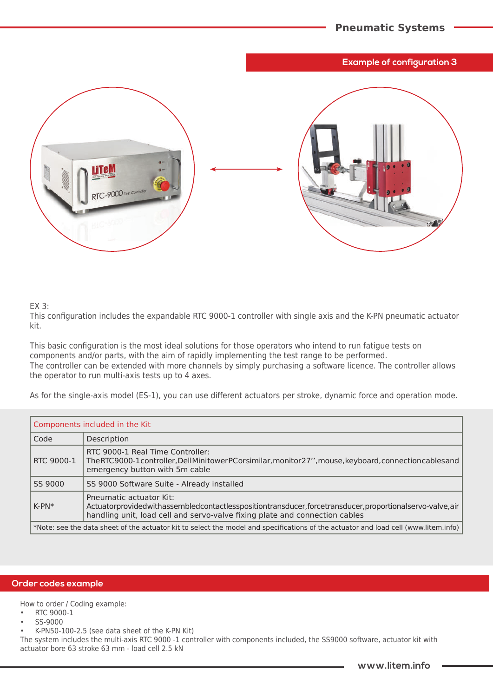### **Example of configuration 3**



#### EX 3:

This configuration includes the expandable RTC 9000-1 controller with single axis and the K-PN pneumatic actuator kit.

This basic configuration is the most ideal solutions for those operators who intend to run fatigue tests on components and/or parts, with the aim of rapidly implementing the test range to be performed. The controller can be extended with more channels by simply purchasing a software licence. The controller allows the operator to run multi-axis tests up to 4 axes.

As for the single-axis model (ES-1), you can use different actuators per stroke, dynamic force and operation mode.

| Components included in the Kit                                                                                                      |                                                                                                                                                                                                                  |  |
|-------------------------------------------------------------------------------------------------------------------------------------|------------------------------------------------------------------------------------------------------------------------------------------------------------------------------------------------------------------|--|
| Code                                                                                                                                | Description                                                                                                                                                                                                      |  |
| RTC 9000-1                                                                                                                          | RTC 9000-1 Real Time Controller:<br>The RTC9000-1 controller, Dell Minitower PC or similar, monitor 27", mouse, keyboard, connection cables and<br>emergency button with 5m cable                                |  |
| SS 9000                                                                                                                             | SS 9000 Software Suite - Already installed                                                                                                                                                                       |  |
| $K-PN*$                                                                                                                             | Pneumatic actuator Kit:<br>Actuatorprovidedwithassembledcontactlesspositiontransducer,forcetransducer,proportionalservo-valve,air<br>handling unit, load cell and servo-valve fixing plate and connection cables |  |
| *Note: see the data sheet of the actuator kit to select the model and specifications of the actuator and load cell (www.litem.info) |                                                                                                                                                                                                                  |  |

#### **Order codes example**

How to order / Coding example:

- RTC 9000-1
- SS-9000
- K-PN50-100-2.5 (see data sheet of the K-PN Kit)

The system includes the multi-axis RTC 9000 -1 controller with components included, the SS9000 software, actuator kit with actuator bore 63 stroke 63 mm - load cell 2.5 kN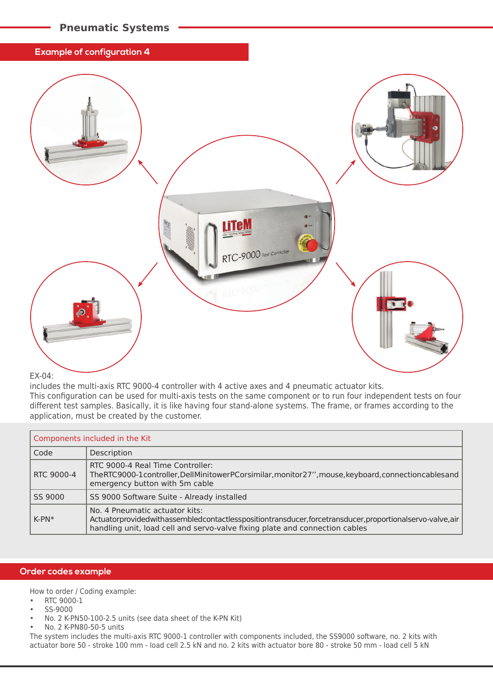# **Pneumatic Systems**

#### **Example of configuration 4**



#### EX-04:

includes the multi-axis RTC 9000-4 controller with 4 active axes and 4 pneumatic actuator kits. This configuration can be used for multi-axis tests on the same component or to run four independent tests on four different test samples. Basically, it is like having four stand-alone systems. The frame, or frames according to the application, must be created by the customer.

| Components included in the Kit |                                                                                                                                                                                                                         |  |
|--------------------------------|-------------------------------------------------------------------------------------------------------------------------------------------------------------------------------------------------------------------------|--|
| Code                           | Description                                                                                                                                                                                                             |  |
| RTC 9000-4                     | RTC 9000-4 Real Time Controller:<br>The RTC9000-1 controller, Dell Minitower PC or similar, monitor 27", mouse, keyboard, connection cables and<br>emergency button with 5m cable                                       |  |
| SS 9000                        | SS 9000 Software Suite - Already installed                                                                                                                                                                              |  |
| $K-PN*$                        | No. 4 Pneumatic actuator kits:<br>Actuatorprovidedwithassembledcontactlesspositiontransducer,forcetransducer,proportionalservo-valve,air<br>handling unit, load cell and servo-valve fixing plate and connection cables |  |

#### **Order codes example**

How to order / Coding example:

- RTC 9000-1
- SS-9000
- No. 2 K-PN50-100-2.5 units (see data sheet of the K-PN Kit)
- No. 2 K-PN80-50-5 units

The system includes the multi-axis RTC 9000-1 controller with components included, the SS9000 software, no. 2 kits with actuator bore 50 - stroke 100 mm - load cell 2.5 kN and no. 2 kits with actuator bore 80 - stroke 50 mm - load cell 5 kN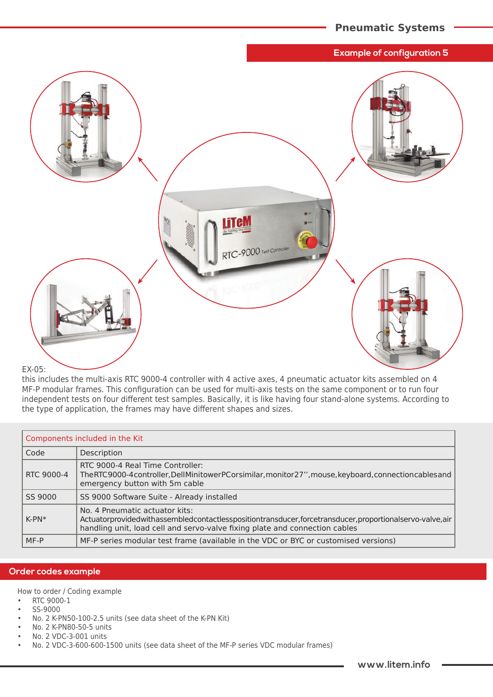#### **Example of configuration 5**



#### EX-05:

this includes the multi-axis RTC 9000-4 controller with 4 active axes, 4 pneumatic actuator kits assembled on 4 MF-P modular frames. This configuration can be used for multi-axis tests on the same component or to run four independent tests on four different test samples. Basically, it is like having four stand-alone systems. According to the type of application, the frames may have different shapes and sizes.

| Components included in the Kit |                                                                                                                                                                                                                         |  |
|--------------------------------|-------------------------------------------------------------------------------------------------------------------------------------------------------------------------------------------------------------------------|--|
| Code                           | Description                                                                                                                                                                                                             |  |
| RTC 9000-4                     | RTC 9000-4 Real Time Controller:<br>The RTC9000-4 controller, Dell Minitower PC or similar, monitor 27", mouse, keyboard, connection cables and<br>emergency button with 5m cable                                       |  |
| SS 9000                        | SS 9000 Software Suite - Already installed                                                                                                                                                                              |  |
| $K-PN*$                        | No. 4 Pneumatic actuator kits:<br>Actuatorprovidedwithassembledcontactlesspositiontransducer,forcetransducer,proportionalservo-valve,air<br>handling unit, load cell and servo-valve fixing plate and connection cables |  |
| MF-P                           | MF-P series modular test frame (available in the VDC or BYC or customised versions)                                                                                                                                     |  |

#### **Order codes example**

How to order / Coding example

- RTC 9000-1
- SS-9000
- No. 2 K-PN50-100-2.5 units (see data sheet of the K-PN Kit)
- No. 2 K-PN80-50-5 units
- No. 2 VDC-3-001 units
- No. 2 VDC-3-600-600-1500 units (see data sheet of the MF-P series VDC modular frames)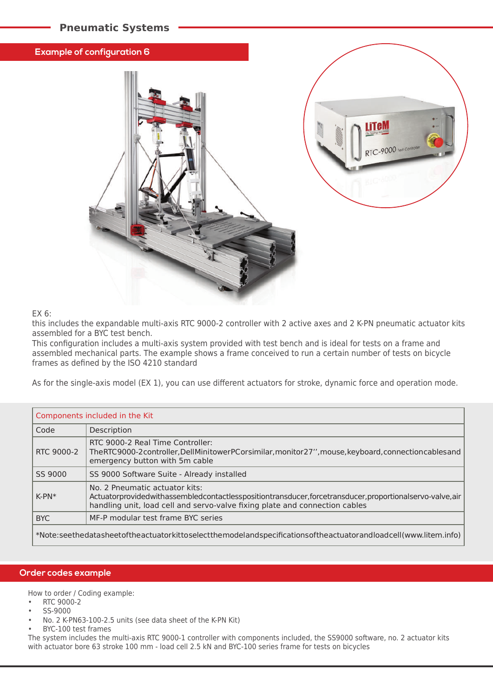# **Pneumatic Systems**

#### **Example of configuration 6**



#### EX 6:

this includes the expandable multi-axis RTC 9000-2 controller with 2 active axes and 2 K-PN pneumatic actuator kits assembled for a BYC test bench.

This configuration includes a multi-axis system provided with test bench and is ideal for tests on a frame and assembled mechanical parts. The example shows a frame conceived to run a certain number of tests on bicycle frames as defined by the ISO 4210 standard

As for the single-axis model (EX 1), you can use different actuators for stroke, dynamic force and operation mode.

| Components included in the Kit                                                                                 |                                                                                                                                                                                                                         |  |
|----------------------------------------------------------------------------------------------------------------|-------------------------------------------------------------------------------------------------------------------------------------------------------------------------------------------------------------------------|--|
| Code                                                                                                           | Description                                                                                                                                                                                                             |  |
| RTC 9000-2                                                                                                     | RTC 9000-2 Real Time Controller:<br>The RTC9000-2 controller, Dell Minitower PC or similar, monitor 27", mouse, keyboard, connection cables and<br>emergency button with 5m cable                                       |  |
| SS 9000                                                                                                        | SS 9000 Software Suite - Already installed                                                                                                                                                                              |  |
| $K-PN*$                                                                                                        | No. 2 Pneumatic actuator kits:<br>Actuatorprovidedwithassembledcontactlesspositiontransducer,forcetransducer,proportionalservo-valve,air<br>handling unit, load cell and servo-valve fixing plate and connection cables |  |
| <b>BYC</b>                                                                                                     | MF-P modular test frame BYC series                                                                                                                                                                                      |  |
| *Note:seethedatasheetoftheactuatorkittoselectthemodelandspecificationsoftheactuatorandloadcell(www.litem.info) |                                                                                                                                                                                                                         |  |

#### **Order codes example**

How to order / Coding example:

- RTC 9000-2
- SS-9000
- No. 2 K-PN63-100-2.5 units (see data sheet of the K-PN Kit)
- BYC-100 test frames

The system includes the multi-axis RTC 9000-1 controller with components included, the SS9000 software, no. 2 actuator kits with actuator bore 63 stroke 100 mm - load cell 2.5 kN and BYC-100 series frame for tests on bicycles